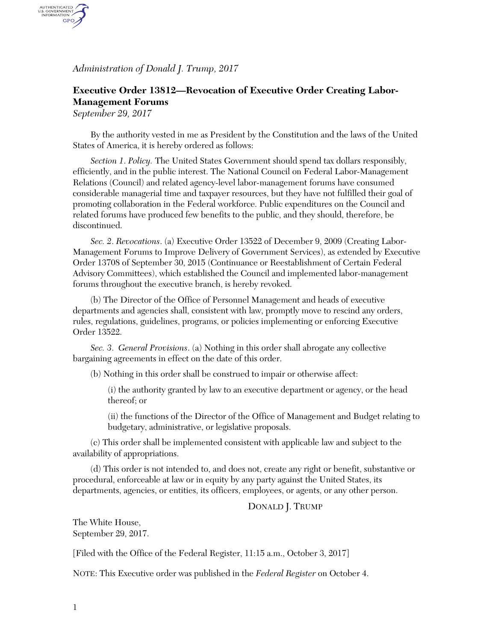*Administration of Donald J. Trump, 2017*

## **Executive Order 13812—Revocation of Executive Order Creating Labor-Management Forums**

*September 29, 2017*

AUTHENTICATED<br>U.S. GOVERNMENT<br>INFORMATION GPO.

> By the authority vested in me as President by the Constitution and the laws of the United States of America, it is hereby ordered as follows:

*Section 1*. *Policy.* The United States Government should spend tax dollars responsibly, efficiently, and in the public interest. The National Council on Federal Labor-Management Relations (Council) and related agency-level labor-management forums have consumed considerable managerial time and taxpayer resources, but they have not fulfilled their goal of promoting collaboration in the Federal workforce. Public expenditures on the Council and related forums have produced few benefits to the public, and they should, therefore, be discontinued.

*Sec. 2*. *Revocations*. (a) Executive Order 13522 of December 9, 2009 (Creating Labor-Management Forums to Improve Delivery of Government Services), as extended by Executive Order 13708 of September 30, 2015 (Continuance or Reestablishment of Certain Federal Advisory Committees), which established the Council and implemented labor-management forums throughout the executive branch, is hereby revoked.

(b) The Director of the Office of Personnel Management and heads of executive departments and agencies shall, consistent with law, promptly move to rescind any orders, rules, regulations, guidelines, programs, or policies implementing or enforcing Executive Order 13522.

*Sec. 3*. *General Provisions*. (a) Nothing in this order shall abrogate any collective bargaining agreements in effect on the date of this order.

(b) Nothing in this order shall be construed to impair or otherwise affect:

(i) the authority granted by law to an executive department or agency, or the head thereof; or

(ii) the functions of the Director of the Office of Management and Budget relating to budgetary, administrative, or legislative proposals.

(c) This order shall be implemented consistent with applicable law and subject to the availability of appropriations.

(d) This order is not intended to, and does not, create any right or benefit, substantive or procedural, enforceable at law or in equity by any party against the United States, its departments, agencies, or entities, its officers, employees, or agents, or any other person.

## DONALD J. TRUMP

The White House, September 29, 2017.

[Filed with the Office of the Federal Register, 11:15 a.m., October 3, 2017]

NOTE: This Executive order was published in the *Federal Register* on October 4.